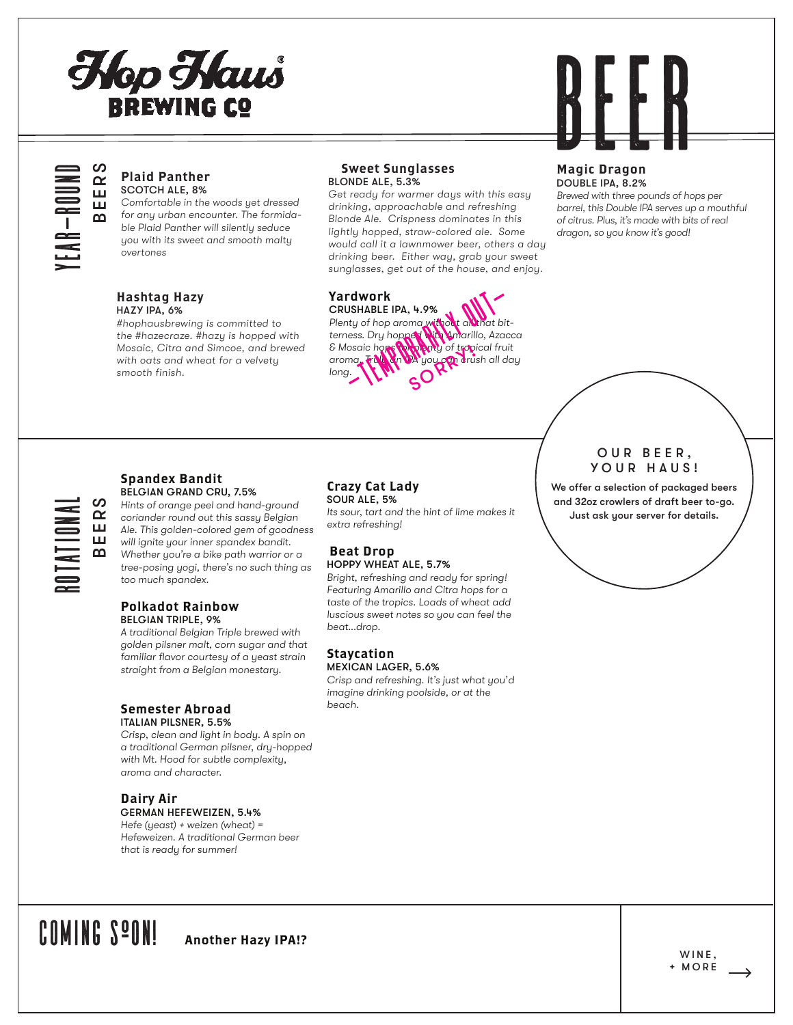# Hop Haus **BREWING CO**



# EER.

YEAR-ROUND

### Plaid Panther SCOTCH ALE, 8%

*Comfortable in the woods yet dressed for any urban encounter. The formidable Plaid Panther will silently seduce you with its sweet and smooth malty overtones*

#### Hashtag Hazy HAZY IPA, 6%

*#hophausbrewing is committed to the #hazecraze. #hazy is hopped with Mosaic, Citra and Simcoe, and brewed with oats and wheat for a velvety smooth finish.*

#### Sweet Sunglasses BLONDE ALE, 5.3%

*Get ready for warmer days with this easy drinking, approachable and refreshing Blonde Ale. Crispness dominates in this lightly hopped, straw-colored ale. Some would call it a lawnmower beer, others a day drinking beer. Either way, grab your sweet sunglasses, get out of the house, and enjoy.*

# Yardwork

CRUSHABLE IPA, 4.9% Plenty of hop aroma without all that bit*terness. Dry hopped with Amarillo, Azacca & Mosaic hops for plenty of tropical fruit aroma. Truly an IPA you can crush all day long.* dwork<br>ISHABLE IPA, 4.9%<br>ty of hop aroma with out all that bi<br>sss. Dry hopped and the untarillo, Aza<br>socio hopped a you can drush all of<br>Sorrain the Society

# Magic Dragon DOUBLE IPA, 8.2%

*Brewed with three pounds of hops per barrel, this Double IPA serves up a mouthful of citrus. Plus, it's made with bits of real dragon, so you know it's good!*

# ROTATIONAL BEERS

#### Spandex Bandit BELGIAN GRAND CRU, 7.5%

*Hints of orange peel and hand-ground coriander round out this sassy Belgian Ale. This golden-colored gem of goodness will ignite your inner spandex bandit. Whether you're a bike path warrior or a tree-posing yogi, there's no such thing as too much spandex.* 

### Polkadot Rainbow BELGIAN TRIPLE, 9%

*A traditional Belgian Triple brewed with golden pilsner malt, corn sugar and that familiar flavor courtesy of a yeast strain straight from a Belgian monestary.*

#### Semester Abroad ITALIAN PILSNER, 5.5%

*Crisp, clean and light in body. A spin on a traditional German pilsner, dry-hopped with Mt. Hood for subtle complexity, aroma and character.* 

# Dairy Air

GERMAN HEFEWEIZEN, 5.4% *Hefe (yeast) + weizen (wheat) = Hefeweizen. A traditional German beer that is ready for summer!*

# Crazy Cat Lady

SOUR ALE, 5% *Its sour, tart and the hint of lime makes it extra refreshing!*

#### Beat Drop HOPPY WHEAT ALE, 5.7%

*Bright, refreshing and ready for spring! Featuring Amarillo and Citra hops for a taste of the tropics. Loads of wheat add luscious sweet notes so you can feel the beat...drop.* 

#### Staycation MEXICAN LAGER, 5.6%

*Crisp and refreshing. It's just what you'd imagine drinking poolside, or at the beach.* 

# OUR BEER, YOUR HAUS!

We offer a selection of packaged beers and 32oz crowlers of draft beer to-go. Just ask your server for details.

# COMING SOON! Another Hazy IPA!?

WINE, + MORE